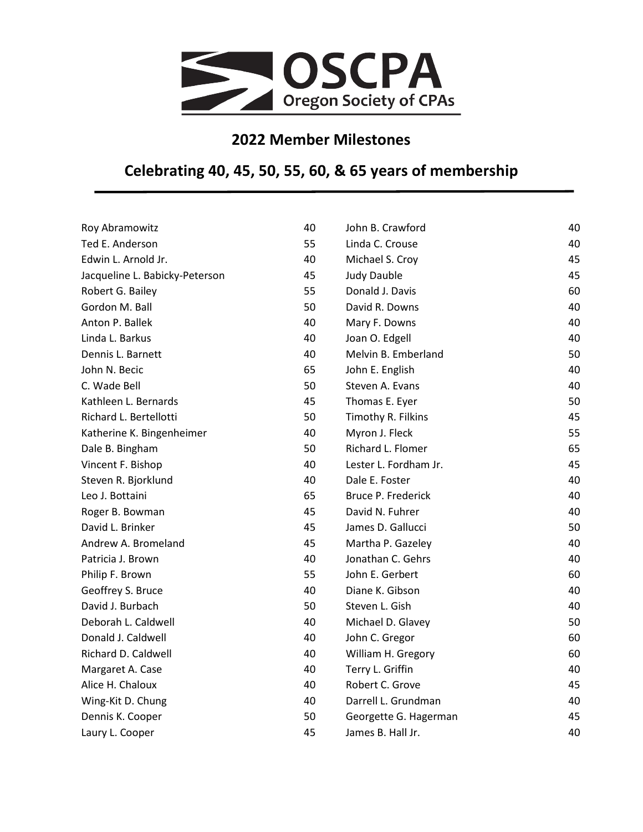

## **2022 Member Milestones**

## **Celebrating 40, 45, 50, 55, 60, & 65 years of membership**

| Roy Abramowitz                 | 40 | John B. Crawford      | 40 |
|--------------------------------|----|-----------------------|----|
| Ted E. Anderson                | 55 | Linda C. Crouse       | 40 |
| Edwin L. Arnold Jr.            | 40 | Michael S. Croy       | 45 |
| Jacqueline L. Babicky-Peterson | 45 | <b>Judy Dauble</b>    | 45 |
| Robert G. Bailey               | 55 | Donald J. Davis       | 60 |
| Gordon M. Ball                 | 50 | David R. Downs        | 40 |
| Anton P. Ballek                | 40 | Mary F. Downs         | 40 |
| Linda L. Barkus                | 40 | Joan O. Edgell        | 40 |
| Dennis L. Barnett              | 40 | Melvin B. Emberland   | 50 |
| John N. Becic                  | 65 | John E. English       | 40 |
| C. Wade Bell                   | 50 | Steven A. Evans       | 40 |
| Kathleen L. Bernards           | 45 | Thomas E. Eyer        | 50 |
| Richard L. Bertellotti         | 50 | Timothy R. Filkins    | 45 |
| Katherine K. Bingenheimer      | 40 | Myron J. Fleck        | 55 |
| Dale B. Bingham                | 50 | Richard L. Flomer     | 65 |
| Vincent F. Bishop              | 40 | Lester L. Fordham Jr. | 45 |
| Steven R. Bjorklund            | 40 | Dale E. Foster        | 40 |
| Leo J. Bottaini                | 65 | Bruce P. Frederick    | 40 |
| Roger B. Bowman                | 45 | David N. Fuhrer       | 40 |
| David L. Brinker               | 45 | James D. Gallucci     | 50 |
| Andrew A. Bromeland            | 45 | Martha P. Gazeley     | 40 |
| Patricia J. Brown              | 40 | Jonathan C. Gehrs     | 40 |
| Philip F. Brown                | 55 | John E. Gerbert       | 60 |
| Geoffrey S. Bruce              | 40 | Diane K. Gibson       | 40 |
| David J. Burbach               | 50 | Steven L. Gish        | 40 |
| Deborah L. Caldwell            | 40 | Michael D. Glavey     | 50 |
| Donald J. Caldwell             | 40 | John C. Gregor        | 60 |
| Richard D. Caldwell            | 40 | William H. Gregory    | 60 |
| Margaret A. Case               | 40 | Terry L. Griffin      | 40 |
| Alice H. Chaloux               | 40 | Robert C. Grove       | 45 |
| Wing-Kit D. Chung              | 40 | Darrell L. Grundman   | 40 |
| Dennis K. Cooper               | 50 | Georgette G. Hagerman | 45 |
| Laury L. Cooper                | 45 | James B. Hall Jr.     | 40 |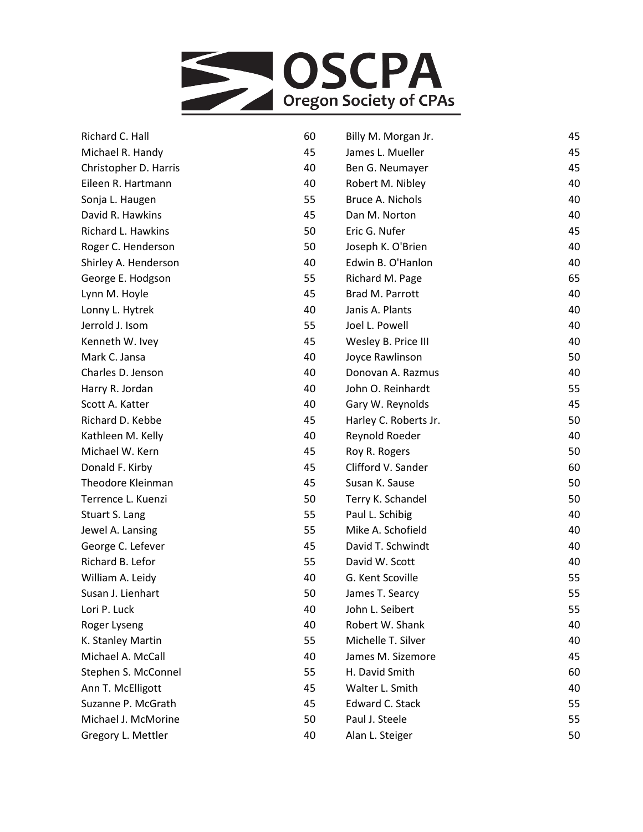

| Richard C. Hall       | 60 | Billy M. Morgan Jr.   | 45 |
|-----------------------|----|-----------------------|----|
| Michael R. Handy      | 45 | James L. Mueller      | 45 |
| Christopher D. Harris | 40 | Ben G. Neumayer       | 45 |
| Eileen R. Hartmann    | 40 | Robert M. Nibley      | 40 |
| Sonja L. Haugen       | 55 | Bruce A. Nichols      | 40 |
| David R. Hawkins      | 45 | Dan M. Norton         | 40 |
| Richard L. Hawkins    | 50 | Eric G. Nufer         | 45 |
| Roger C. Henderson    | 50 | Joseph K. O'Brien     | 40 |
| Shirley A. Henderson  | 40 | Edwin B. O'Hanlon     | 40 |
| George E. Hodgson     | 55 | Richard M. Page       | 65 |
| Lynn M. Hoyle         | 45 | Brad M. Parrott       | 40 |
| Lonny L. Hytrek       | 40 | Janis A. Plants       | 40 |
| Jerrold J. Isom       | 55 | Joel L. Powell        | 40 |
| Kenneth W. Ivey       | 45 | Wesley B. Price III   | 40 |
| Mark C. Jansa         | 40 | Joyce Rawlinson       | 50 |
| Charles D. Jenson     | 40 | Donovan A. Razmus     | 40 |
| Harry R. Jordan       | 40 | John O. Reinhardt     | 55 |
| Scott A. Katter       | 40 | Gary W. Reynolds      | 45 |
| Richard D. Kebbe      | 45 | Harley C. Roberts Jr. | 50 |
| Kathleen M. Kelly     | 40 | Reynold Roeder        | 40 |
| Michael W. Kern       | 45 | Roy R. Rogers         | 50 |
| Donald F. Kirby       | 45 | Clifford V. Sander    | 60 |
| Theodore Kleinman     | 45 | Susan K. Sause        | 50 |
| Terrence L. Kuenzi    | 50 | Terry K. Schandel     | 50 |
| Stuart S. Lang        | 55 | Paul L. Schibig       | 40 |
| Jewel A. Lansing      | 55 | Mike A. Schofield     | 40 |
| George C. Lefever     | 45 | David T. Schwindt     | 40 |
| Richard B. Lefor      | 55 | David W. Scott        | 40 |
| William A. Leidy      | 40 | G. Kent Scoville      | 55 |
| Susan J. Lienhart     | 50 | James T. Searcy       | 55 |
| Lori P. Luck          | 40 | John L. Seibert       | 55 |
| Roger Lyseng          | 40 | Robert W. Shank       | 40 |
| K. Stanley Martin     | 55 | Michelle T. Silver    | 40 |
| Michael A. McCall     | 40 | James M. Sizemore     | 45 |
| Stephen S. McConnel   | 55 | H. David Smith        | 60 |
| Ann T. McElligott     | 45 | Walter L. Smith       | 40 |
| Suzanne P. McGrath    | 45 | Edward C. Stack       | 55 |
| Michael J. McMorine   | 50 | Paul J. Steele        | 55 |
| Gregory L. Mettler    | 40 | Alan L. Steiger       | 50 |